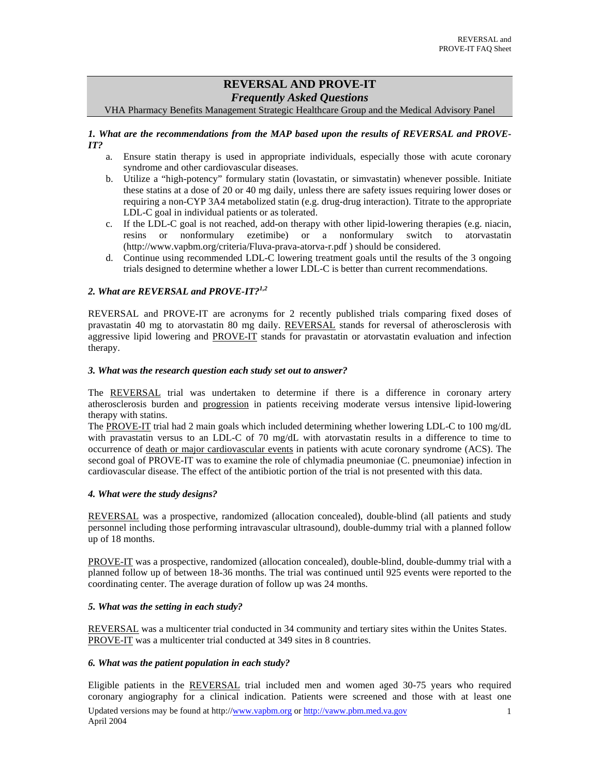# **REVERSAL AND PROVE-IT**  *Frequently Asked Questions*

VHA Pharmacy Benefits Management Strategic Healthcare Group and the Medical Advisory Panel

# *1. What are the recommendations from the MAP based upon the results of REVERSAL and PROVE-IT?*

- a. Ensure statin therapy is used in appropriate individuals, especially those with acute coronary syndrome and other cardiovascular diseases.
- b. Utilize a "high-potency" formulary statin (lovastatin, or simvastatin) whenever possible. Initiate these statins at a dose of 20 or 40 mg daily, unless there are safety issues requiring lower doses or requiring a non-CYP 3A4 metabolized statin (e.g. drug-drug interaction). Titrate to the appropriate LDL-C goal in individual patients or as tolerated.
- c. If the LDL-C goal is not reached, add-on therapy with other lipid-lowering therapies (e.g. niacin, resins or nonformulary ezetimibe) or a nonformulary switch to atorvastatin [\(http://www.vapbm.org/criteria/Fluva-prava-atorva-r.pdf](http://www.vapbm.org/criteria/Fluva-prava-atorva-r.pdf) ) should be considered.
- d. Continue using recommended LDL-C lowering treatment goals until the results of the 3 ongoing trials designed to determine whether a lower LDL-C is better than current recommendations.

# *2. What are REVERSAL and PROVE-IT?[1,2](#page-5-0)*

REVERSAL and PROVE-IT are acronyms for 2 recently published trials comparing fixed doses of pravastatin 40 mg to atorvastatin 80 mg daily. REVERSAL stands for reversal of atherosclerosis with aggressive lipid lowering and PROVE-IT stands for pravastatin or atorvastatin evaluation and infection therapy.

### *3. What was the research question each study set out to answer?*

The REVERSAL trial was undertaken to determine if there is a difference in coronary artery atherosclerosis burden and progression in patients receiving moderate versus intensive lipid-lowering therapy with statins.

The PROVE-IT trial had 2 main goals which included determining whether lowering LDL-C to 100 mg/dL with pravastatin versus to an LDL-C of 70 mg/dL with atorvastatin results in a difference to time to occurrence of death or major cardiovascular events in patients with acute coronary syndrome (ACS). The second goal of PROVE-IT was to examine the role of chlymadia pneumoniae (C. pneumoniae) infection in cardiovascular disease. The effect of the antibiotic portion of the trial is not presented with this data.

## *4. What were the study designs?*

REVERSAL was a prospective, randomized (allocation concealed), double-blind (all patients and study personnel including those performing intravascular ultrasound), double-dummy trial with a planned follow up of 18 months.

PROVE-IT was a prospective, randomized (allocation concealed), double-blind, double-dummy trial with a planned follow up of between 18-36 months. The trial was continued until 925 events were reported to the coordinating center. The average duration of follow up was 24 months.

### *5. What was the setting in each study?*

REVERSAL was a multicenter trial conducted in 34 community and tertiary sites within the Unites States. PROVE-IT was a multicenter trial conducted at 349 sites in 8 countries.

### *6. What was the patient population in each study?*

Eligible patients in the REVERSAL trial included men and women aged 30-75 years who required coronary angiography for a clinical indication. Patients were screened and those with at least one Updated versions may be found at <http://www.vapbm.org>or<http://vaww.pbm.med.va.gov> April 2004 1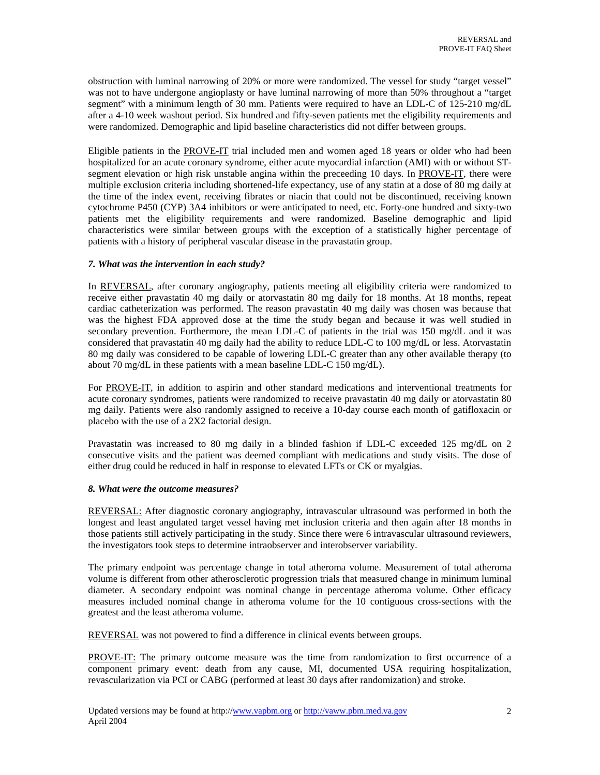obstruction with luminal narrowing of 20% or more were randomized. The vessel for study "target vessel" was not to have undergone angioplasty or have luminal narrowing of more than 50% throughout a "target segment" with a minimum length of 30 mm. Patients were required to have an LDL-C of 125-210 mg/dL after a 4-10 week washout period. Six hundred and fifty-seven patients met the eligibility requirements and were randomized. Demographic and lipid baseline characteristics did not differ between groups.

Eligible patients in the PROVE-IT trial included men and women aged 18 years or older who had been hospitalized for an acute coronary syndrome, either acute myocardial infarction (AMI) with or without STsegment elevation or high risk unstable angina within the preceeding 10 days. In PROVE-IT, there were multiple exclusion criteria including shortened-life expectancy, use of any statin at a dose of 80 mg daily at the time of the index event, receiving fibrates or niacin that could not be discontinued, receiving known cytochrome P450 (CYP) 3A4 inhibitors or were anticipated to need, etc. Forty-one hundred and sixty-two patients met the eligibility requirements and were randomized. Baseline demographic and lipid characteristics were similar between groups with the exception of a statistically higher percentage of patients with a history of peripheral vascular disease in the pravastatin group.

## *7. What was the intervention in each study?*

In REVERSAL, after coronary angiography, patients meeting all eligibility criteria were randomized to receive either pravastatin 40 mg daily or atorvastatin 80 mg daily for 18 months. At 18 months, repeat cardiac catheterization was performed. The reason pravastatin 40 mg daily was chosen was because that was the highest FDA approved dose at the time the study began and because it was well studied in secondary prevention. Furthermore, the mean LDL-C of patients in the trial was 150 mg/dL and it was considered that pravastatin 40 mg daily had the ability to reduce LDL-C to 100 mg/dL or less. Atorvastatin 80 mg daily was considered to be capable of lowering LDL-C greater than any other available therapy (to about 70 mg/dL in these patients with a mean baseline LDL-C 150 mg/dL).

For PROVE-IT, in addition to aspirin and other standard medications and interventional treatments for acute coronary syndromes, patients were randomized to receive pravastatin 40 mg daily or atorvastatin 80 mg daily. Patients were also randomly assigned to receive a 10-day course each month of gatifloxacin or placebo with the use of a 2X2 factorial design.

Pravastatin was increased to 80 mg daily in a blinded fashion if LDL-C exceeded 125 mg/dL on 2 consecutive visits and the patient was deemed compliant with medications and study visits. The dose of either drug could be reduced in half in response to elevated LFTs or CK or myalgias.

## *8. What were the outcome measures?*

REVERSAL: After diagnostic coronary angiography, intravascular ultrasound was performed in both the longest and least angulated target vessel having met inclusion criteria and then again after 18 months in those patients still actively participating in the study. Since there were 6 intravascular ultrasound reviewers, the investigators took steps to determine intraobserver and interobserver variability.

The primary endpoint was percentage change in total atheroma volume. Measurement of total atheroma volume is different from other atherosclerotic progression trials that measured change in minimum luminal diameter. A secondary endpoint was nominal change in percentage atheroma volume. Other efficacy measures included nominal change in atheroma volume for the 10 contiguous cross-sections with the greatest and the least atheroma volume.

REVERSAL was not powered to find a difference in clinical events between groups.

PROVE-IT: The primary outcome measure was the time from randomization to first occurrence of a component primary event: death from any cause, MI, documented USA requiring hospitalization, revascularization via PCI or CABG (performed at least 30 days after randomization) and stroke.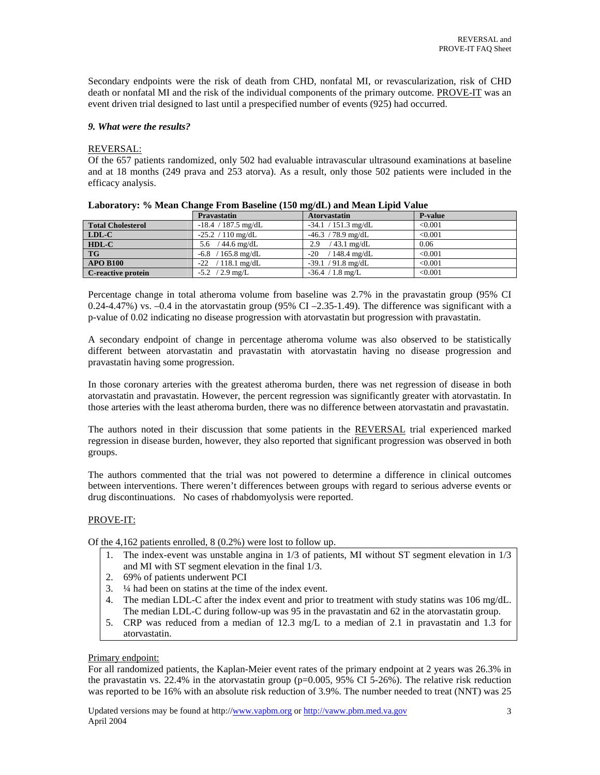Secondary endpoints were the risk of death from CHD, nonfatal MI, or revascularization, risk of CHD death or nonfatal MI and the risk of the individual components of the primary outcome. PROVE-IT was an event driven trial designed to last until a prespecified number of events (925) had occurred.

# *9. What were the results?*

## REVERSAL:

Of the 657 patients randomized, only 502 had evaluable intravascular ultrasound examinations at baseline and at 18 months (249 prava and 253 atorva). As a result, only those 502 patients were included in the efficacy analysis.

|                          | <b>Pravastatin</b>    | <b>Atorvastatin</b>     | <b>P-value</b> |
|--------------------------|-----------------------|-------------------------|----------------|
| <b>Total Cholesterol</b> | $-18.4$ / 187.5 mg/dL | $-34.1 / 151.3$ mg/dL   | < 0.001        |
| $LDL-C$                  | $-25.2 / 110$ mg/dL   | $-46.3$ / 78.9 mg/dL    | < 0.001        |
| $HDL-C$                  | / 44.6 mg/dL<br>5.6   | / 43.1 mg/dL<br>2.9     | 0.06           |
| <b>TG</b>                | $-6.8$ / 165.8 mg/dL  | $/148.4$ mg/dL<br>$-20$ | < 0.001        |
| <b>APO B100</b>          | $-22$ / 118.1 mg/dL   | $-39.1 / 91.8$ mg/dL    | < 0.001        |
| C-reactive protein       | $-5.2$ / 2.9 mg/L     | $-36.4 / 1.8$ mg/L      | < 0.001        |

|  | Laboratory: % Mean Change From Baseline (150 mg/dL) and Mean Lipid Value |  |  |
|--|--------------------------------------------------------------------------|--|--|
|  |                                                                          |  |  |

Percentage change in total atheroma volume from baseline was 2.7% in the pravastatin group (95% CI 0.24-4.47%) vs.  $-0.4$  in the atorvastatin group (95% CI  $-2.35$ -1.49). The difference was significant with a p-value of 0.02 indicating no disease progression with atorvastatin but progression with pravastatin.

A secondary endpoint of change in percentage atheroma volume was also observed to be statistically different between atorvastatin and pravastatin with atorvastatin having no disease progression and pravastatin having some progression.

In those coronary arteries with the greatest atheroma burden, there was net regression of disease in both atorvastatin and pravastatin. However, the percent regression was significantly greater with atorvastatin. In those arteries with the least atheroma burden, there was no difference between atorvastatin and pravastatin.

The authors noted in their discussion that some patients in the REVERSAL trial experienced marked regression in disease burden, however, they also reported that significant progression was observed in both groups.

The authors commented that the trial was not powered to determine a difference in clinical outcomes between interventions. There weren't differences between groups with regard to serious adverse events or drug discontinuations. No cases of rhabdomyolysis were reported.

### PROVE-IT:

Of the 4,162 patients enrolled, 8 (0.2%) were lost to follow up.

- 1. The index-event was unstable angina in 1/3 of patients, MI without ST segment elevation in 1/3 and MI with ST segment elevation in the final 1/3.
- 2. 69% of patients underwent PCI
- 3. ¼ had been on statins at the time of the index event.
- 4. The median LDL-C after the index event and prior to treatment with study statins was 106 mg/dL. The median LDL-C during follow-up was 95 in the pravastatin and 62 in the atorvastatin group.
- 5. CRP was reduced from a median of 12.3 mg/L to a median of 2.1 in pravastatin and 1.3 for atorvastatin.

### Primary endpoint:

For all randomized patients, the Kaplan-Meier event rates of the primary endpoint at 2 years was 26.3% in the pravastatin vs. 22.4% in the atorvastatin group ( $p=0.005$ , 95% CI 5-26%). The relative risk reduction was reported to be 16% with an absolute risk reduction of 3.9%. The number needed to treat (NNT) was 25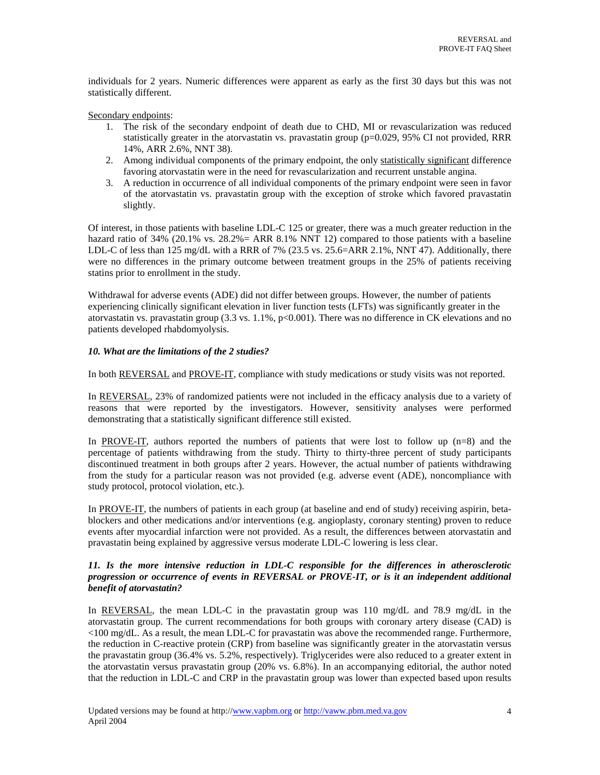individuals for 2 years. Numeric differences were apparent as early as the first 30 days but this was not statistically different.

## Secondary endpoints:

- 1. The risk of the secondary endpoint of death due to CHD, MI or revascularization was reduced statistically greater in the atorvastatin vs. pravastatin group (p=0.029, 95% CI not provided, RRR 14%, ARR 2.6%, NNT 38).
- 2. Among individual components of the primary endpoint, the only statistically significant difference favoring atorvastatin were in the need for revascularization and recurrent unstable angina.
- 3. A reduction in occurrence of all individual components of the primary endpoint were seen in favor of the atorvastatin vs. pravastatin group with the exception of stroke which favored pravastatin slightly.

Of interest, in those patients with baseline LDL-C 125 or greater, there was a much greater reduction in the hazard ratio of 34% (20.1% vs. 28.2% = ARR 8.1% NNT 12) compared to those patients with a baseline LDL-C of less than 125 mg/dL with a RRR of 7% (23.5 vs. 25.6=ARR 2.1%, NNT 47). Additionally, there were no differences in the primary outcome between treatment groups in the 25% of patients receiving statins prior to enrollment in the study.

Withdrawal for adverse events (ADE) did not differ between groups. However, the number of patients experiencing clinically significant elevation in liver function tests (LFTs) was significantly greater in the atorvastatin vs. pravastatin group  $(3.3 \text{ vs. } 1.1\% , p<0.001)$ . There was no difference in CK elevations and no patients developed rhabdomyolysis.

## *10. What are the limitations of the 2 studies?*

In both REVERSAL and PROVE-IT, compliance with study medications or study visits was not reported.

In REVERSAL, 23% of randomized patients were not included in the efficacy analysis due to a variety of reasons that were reported by the investigators. However, sensitivity analyses were performed demonstrating that a statistically significant difference still existed.

In PROVE-IT, authors reported the numbers of patients that were lost to follow up  $(n=8)$  and the percentage of patients withdrawing from the study. Thirty to thirty-three percent of study participants discontinued treatment in both groups after 2 years. However, the actual number of patients withdrawing from the study for a particular reason was not provided (e.g. adverse event (ADE), noncompliance with study protocol, protocol violation, etc.).

In PROVE-IT, the numbers of patients in each group (at baseline and end of study) receiving aspirin, betablockers and other medications and/or interventions (e.g. angioplasty, coronary stenting) proven to reduce events after myocardial infarction were not provided. As a result, the differences between atorvastatin and pravastatin being explained by aggressive versus moderate LDL-C lowering is less clear.

# *11. Is the more intensive reduction in LDL-C responsible for the differences in atherosclerotic progression or occurrence of events in REVERSAL or PROVE-IT, or is it an independent additional benefit of atorvastatin?*

In REVERSAL, the mean LDL-C in the pravastatin group was 110 mg/dL and 78.9 mg/dL in the atorvastatin group. The current recommendations for both groups with coronary artery disease (CAD) is <100 mg/dL. As a result, the mean LDL-C for pravastatin was above the recommended range. Furthermore, the reduction in C-reactive protein (CRP) from baseline was significantly greater in the atorvastatin versus the pravastatin group (36.4% vs. 5.2%, respectively). Triglycerides were also reduced to a greater extent in the atorvastatin versus pravastatin group (20% vs. 6.8%). In an accompanying editorial, the author noted that the reduction in LDL-C and CRP in the pravastatin group was lower than expected based upon results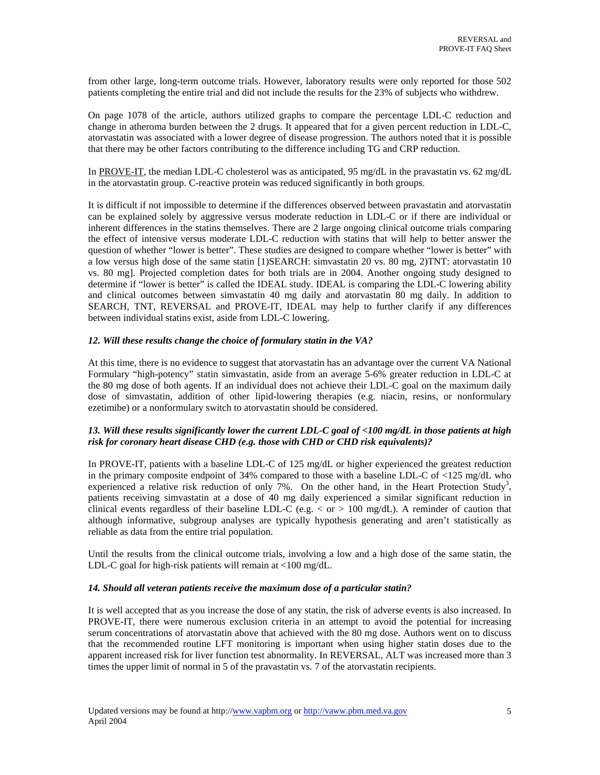from other large, long-term outcome trials. However, laboratory results were only reported for those 502 patients completing the entire trial and did not include the results for the 23% of subjects who withdrew.

On page 1078 of the article, authors utilized graphs to compare the percentage LDL-C reduction and change in atheroma burden between the 2 drugs. It appeared that for a given percent reduction in LDL-C, atorvastatin was associated with a lower degree of disease progression. The authors noted that it is possible that there may be other factors contributing to the difference including TG and CRP reduction.

In PROVE-IT, the median LDL-C cholesterol was as anticipated, 95 mg/dL in the pravastatin vs. 62 mg/dL in the atorvastatin group. C-reactive protein was reduced significantly in both groups.

It is difficult if not impossible to determine if the differences observed between pravastatin and atorvastatin can be explained solely by aggressive versus moderate reduction in LDL-C or if there are individual or inherent differences in the statins themselves. There are 2 large ongoing clinical outcome trials comparing the effect of intensive versus moderate LDL-C reduction with statins that will help to better answer the question of whether "lower is better". These studies are designed to compare whether "lower is better" with a low versus high dose of the same statin [1)SEARCH: simvastatin 20 vs. 80 mg, 2)TNT: atorvastatin 10 vs. 80 mg]. Projected completion dates for both trials are in 2004. Another ongoing study designed to determine if "lower is better" is called the IDEAL study. IDEAL is comparing the LDL-C lowering ability and clinical outcomes between simvastatin 40 mg daily and atorvastatin 80 mg daily. In addition to SEARCH, TNT, REVERSAL and PROVE-IT, IDEAL may help to further clarify if any differences between individual statins exist, aside from LDL-C lowering.

## *12. Will these results change the choice of formulary statin in the VA?*

At this time, there is no evidence to suggest that atorvastatin has an advantage over the current VA National Formulary "high-potency" statin simvastatin, aside from an average 5-6% greater reduction in LDL-C at the 80 mg dose of both agents. If an individual does not achieve their LDL-C goal on the maximum daily dose of simvastatin, addition of other lipid-lowering therapies (e.g. niacin, resins, or nonformulary ezetimibe) or a nonformulary switch to atorvastatin should be considered.

# *13. Will these results significantly lower the current LDL-C goal of <100 mg/dL in those patients at high risk for coronary heart disease CHD (e.g. those with CHD or CHD risk equivalents)?*

In PROVE-IT, patients with a baseline LDL-C of 125 mg/dL or higher experienced the greatest reduction in the primary composite endpoint of 34% compared to those with a baseline LDL-C of <125 mg/dL who experienced a relative risk reduction of only  $7\%$ . On the other hand, in the Heart Protection Study<sup>3</sup>, patients receiving simvastatin at a dose of 40 mg daily experienced a similar significant reduction in clinical events regardless of their baseline LDL-C (e.g.  $\langle$  or  $\rangle$  100 mg/dL). A reminder of caution that although informative, subgroup analyses are typically hypothesis generating and aren't statistically as reliable as data from the entire trial population.

Until the results from the clinical outcome trials, involving a low and a high dose of the same statin, the LDL-C goal for high-risk patients will remain at <100 mg/dL.

### *14. Should all veteran patients receive the maximum dose of a particular statin?*

It is well accepted that as you increase the dose of any statin, the risk of adverse events is also increased. In PROVE-IT, there were numerous exclusion criteria in an attempt to avoid the potential for increasing serum concentrations of atorvastatin above that achieved with the 80 mg dose. Authors went on to discuss that the recommended routine LFT monitoring is important when using higher statin doses due to the apparent increased risk for liver function test abnormality. In REVERSAL, ALT was increased more than 3 times the upper limit of normal in 5 of the pravastatin vs. 7 of the atorvastatin recipients.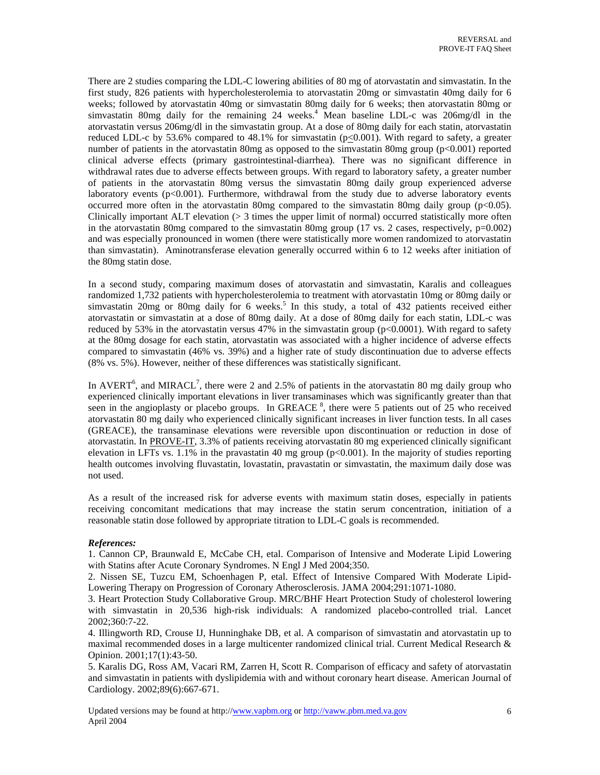<span id="page-5-0"></span>There are 2 studies comparing the LDL-C lowering abilities of 80 mg of atorvastatin and simvastatin. In the first study, 826 patients with hypercholesterolemia to atorvastatin 20mg or simvastatin 40mg daily for 6 weeks; followed by atorvastatin 40mg or simvastatin 80mg daily for 6 weeks; then atorvastatin 80mg or simvastatin 80mg daily for the remaining 24 weeks.<sup>4</sup> Mean baseline LDL-c was 206mg/dl in the atorvastatin versus 206mg/dl in the simvastatin group. At a dose of 80mg daily for each statin, atorvastatin reduced LDL-c by 53.6% compared to 48.1% for simvastatin  $(p<0.001)$ . With regard to safety, a greater number of patients in the atorvastatin 80mg as opposed to the simvastatin 80mg group (p<0.001) reported clinical adverse effects (primary gastrointestinal-diarrhea). There was no significant difference in withdrawal rates due to adverse effects between groups. With regard to laboratory safety, a greater number of patients in the atorvastatin 80mg versus the simvastatin 80mg daily group experienced adverse laboratory events (p<0.001). Furthermore, withdrawal from the study due to adverse laboratory events occurred more often in the atorvastatin 80mg compared to the simvastatin 80mg daily group (p<0.05). Clinically important ALT elevation  $(> 3)$  times the upper limit of normal) occurred statistically more often in the atorvastatin 80mg compared to the simvastatin 80mg group (17 vs. 2 cases, respectively,  $p=0.002$ ) and was especially pronounced in women (there were statistically more women randomized to atorvastatin than simvastatin). Aminotransferase elevation generally occurred within 6 to 12 weeks after initiation of the 80mg statin dose.

In a second study, comparing maximum doses of atorvastatin and simvastatin, Karalis and colleagues randomized 1,732 patients with hypercholesterolemia to treatment with atorvastatin 10mg or 80mg daily or simvastatin 20mg or 80mg daily for 6 weeks.<sup>5</sup> In this study, a total of 432 patients received either atorvastatin or simvastatin at a dose of 80mg daily. At a dose of 80mg daily for each statin, LDL-c was reduced by 53% in the atorvastatin versus 47% in the simvastatin group (p<0.0001). With regard to safety at the 80mg dosage for each statin, atorvastatin was associated with a higher incidence of adverse effects compared to simvastatin (46% vs. 39%) and a higher rate of study discontinuation due to adverse effects (8% vs. 5%). However, neither of these differences was statistically significant.

In AVERT<sup>[6](#page-6-0)</sup>, and MIRACL<sup>[7](#page-6-0)</sup>, there were 2 and 2.5% of patients in the atorvastatin 80 mg daily group who experienced clinically important elevations in liver transaminases which was significantly greater than that seen in the angioplasty or placebo groups. In GREACE<sup>8</sup>, there were 5 patients out of 25 who received atorvastatin 80 mg daily who experienced clinically significant increases in liver function tests. In all cases (GREACE), the transaminase elevations were reversible upon discontinuation or reduction in dose of atorvastatin. In PROVE-IT, 3.3% of patients receiving atorvastatin 80 mg experienced clinically significant elevation in LFTs vs.  $1.1\%$  in the pravastatin 40 mg group ( $p<0.001$ ). In the majority of studies reporting health outcomes involving fluvastatin, lovastatin, pravastatin or simvastatin, the maximum daily dose was not used.

As a result of the increased risk for adverse events with maximum statin doses, especially in patients receiving concomitant medications that may increase the statin serum concentration, initiation of a reasonable statin dose followed by appropriate titration to LDL-C goals is recommended.

### *References:*

1. Cannon CP, Braunwald E, McCabe CH, etal. Comparison of Intensive and Moderate Lipid Lowering with Statins after Acute Coronary Syndromes. N Engl J Med 2004;350.

2. Nissen SE, Tuzcu EM, Schoenhagen P, etal. Effect of Intensive Compared With Moderate Lipid-Lowering Therapy on Progression of Coronary Atherosclerosis. JAMA 2004;291:1071-1080.

3. Heart Protection Study Collaborative Group. MRC/BHF Heart Protection Study of cholesterol lowering with simvastatin in 20,536 high-risk individuals: A randomized placebo-controlled trial. Lancet 2002;360:7-22.

4. Illingworth RD, Crouse IJ, Hunninghake DB, et al. A comparison of simvastatin and atorvastatin up to maximal recommended doses in a large multicenter randomized clinical trial. Current Medical Research & Opinion. 2001;17(1):43-50.

5. Karalis DG, Ross AM, Vacari RM, Zarren H, Scott R. Comparison of efficacy and safety of atorvastatin and simvastatin in patients with dyslipidemia with and without coronary heart disease. American Journal of Cardiology. 2002;89(6):667-671.